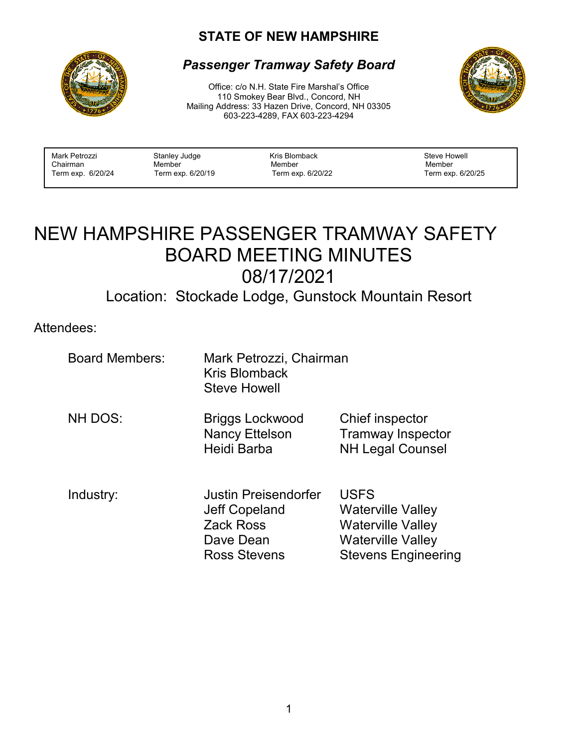## **STATE OF NEW HAMPSHIRE**



## *Passenger Tramway Safety Board*

Office: c/o N.H. State Fire Marshal's Office 110 Smokey Bear Blvd., Concord, NH Mailing Address: 33 Hazen Drive, Concord, NH 03305 603-223-4289, FAX 603-223-4294



| Mark Petrozzi<br>Kris Blomback<br>Stanley Judge<br>Chairman<br>Member<br>Member<br>Term exp. 6/20/24<br>Term exp. 6/20/19<br>Term exp. 6/20/22 | Steve Howell<br>Member<br>Term exp. 6/20/25 |
|------------------------------------------------------------------------------------------------------------------------------------------------|---------------------------------------------|
|------------------------------------------------------------------------------------------------------------------------------------------------|---------------------------------------------|

# NEW HAMPSHIRE PASSENGER TRAMWAY SAFETY BOARD MEETING MINUTES 08/17/2021

Location: Stockade Lodge, Gunstock Mountain Resort

Attendees:

| <b>Board Members:</b> | Mark Petrozzi, Chairman<br>Kris Blomback<br><b>Steve Howell</b>                               |                                                                                                                               |
|-----------------------|-----------------------------------------------------------------------------------------------|-------------------------------------------------------------------------------------------------------------------------------|
| NH DOS:               | <b>Briggs Lockwood</b><br><b>Nancy Ettelson</b><br>Heidi Barba                                | Chief inspector<br><b>Tramway Inspector</b><br><b>NH Legal Counsel</b>                                                        |
| Industry:             | Justin Preisendorfer<br>Jeff Copeland<br><b>Zack Ross</b><br>Dave Dean<br><b>Ross Stevens</b> | <b>USFS</b><br><b>Waterville Valley</b><br><b>Waterville Valley</b><br><b>Waterville Valley</b><br><b>Stevens Engineering</b> |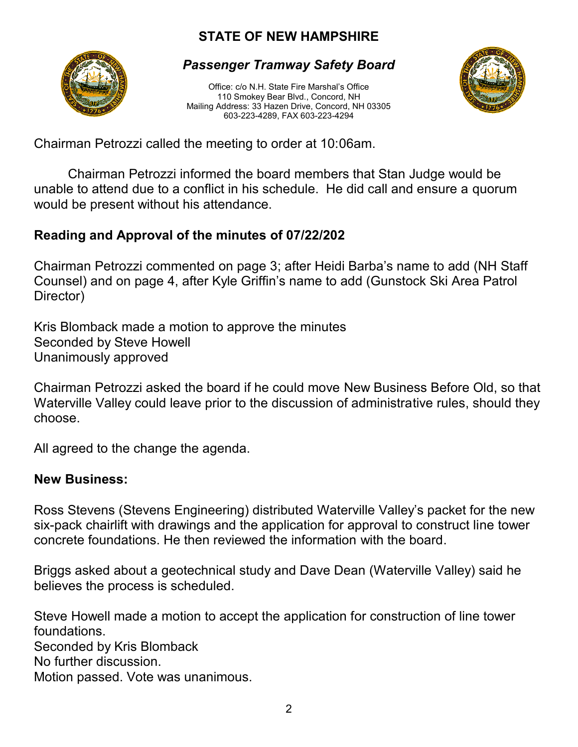# **STATE OF NEW HAMPSHIRE**



#### *Passenger Tramway Safety Board*

Office: c/o N.H. State Fire Marshal's Office 110 Smokey Bear Blvd., Concord, NH Mailing Address: 33 Hazen Drive, Concord, NH 03305 603-223-4289, FAX 603-223-4294



Chairman Petrozzi called the meeting to order at 10:06am.

Chairman Petrozzi informed the board members that Stan Judge would be unable to attend due to a conflict in his schedule. He did call and ensure a quorum would be present without his attendance.

## **Reading and Approval of the minutes of 07/22/202**

Chairman Petrozzi commented on page 3; after Heidi Barba's name to add (NH Staff Counsel) and on page 4, after Kyle Griffin's name to add (Gunstock Ski Area Patrol Director)

Kris Blomback made a motion to approve the minutes Seconded by Steve Howell Unanimously approved

Chairman Petrozzi asked the board if he could move New Business Before Old, so that Waterville Valley could leave prior to the discussion of administrative rules, should they choose.

All agreed to the change the agenda.

#### **New Business:**

Ross Stevens (Stevens Engineering) distributed Waterville Valley's packet for the new six-pack chairlift with drawings and the application for approval to construct line tower concrete foundations. He then reviewed the information with the board.

Briggs asked about a geotechnical study and Dave Dean (Waterville Valley) said he believes the process is scheduled.

Steve Howell made a motion to accept the application for construction of line tower foundations.

Seconded by Kris Blomback

No further discussion.

Motion passed. Vote was unanimous.